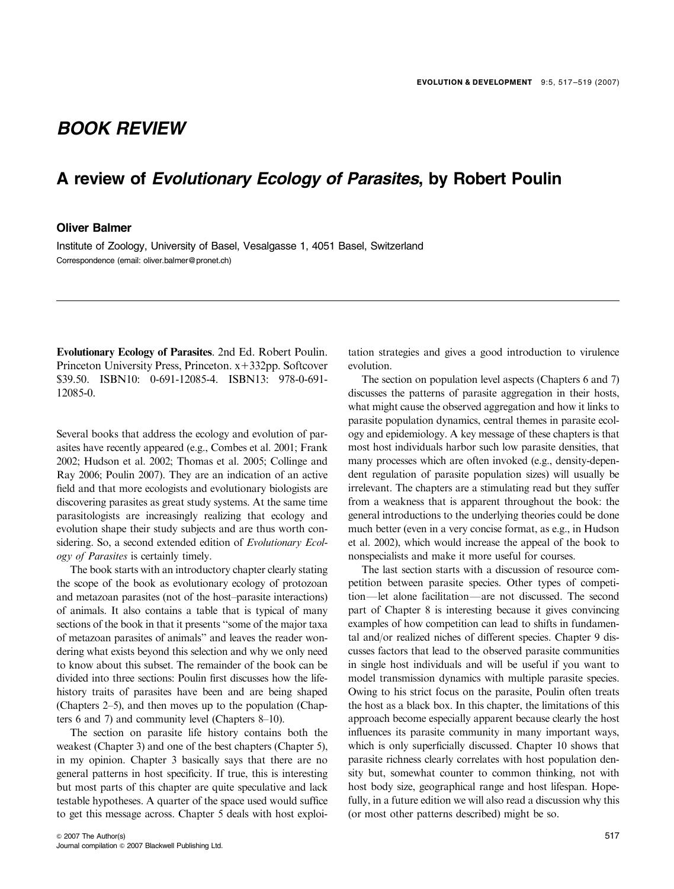## BOOK REVIEW

# A review of Evolutionary Ecology of Parasites, by Robert Poulin

### Oliver Balmer

Institute of Zoology, University of Basel, Vesalgasse 1, 4051 Basel, Switzerland Correspondence (email: oliver.balmer@pronet.ch)

Evolutionary Ecology of Parasites. 2nd Ed. Robert Poulin. Princeton University Press, Princeton.  $x+332pp$ . Softcover \$39.50. ISBN10: 0-691-12085-4. ISBN13: 978-0-691- 12085-0.

Several books that address the ecology and evolution of parasites have recently appeared (e.g., Combes et al. 2001; Frank 2002; Hudson et al. 2002; Thomas et al. 2005; Collinge and Ray 2006; Poulin 2007). They are an indication of an active field and that more ecologists and evolutionary biologists are discovering parasites as great study systems. At the same time parasitologists are increasingly realizing that ecology and evolution shape their study subjects and are thus worth considering. So, a second extended edition of Evolutionary Ecology of Parasites is certainly timely.

The book starts with an introductory chapter clearly stating the scope of the book as evolutionary ecology of protozoan and metazoan parasites (not of the host–parasite interactions) of animals. It also contains a table that is typical of many sections of the book in that it presents ''some of the major taxa of metazoan parasites of animals'' and leaves the reader wondering what exists beyond this selection and why we only need to know about this subset. The remainder of the book can be divided into three sections: Poulin first discusses how the lifehistory traits of parasites have been and are being shaped (Chapters 2–5), and then moves up to the population (Chapters 6 and 7) and community level (Chapters 8–10).

The section on parasite life history contains both the weakest (Chapter 3) and one of the best chapters (Chapter 5), in my opinion. Chapter 3 basically says that there are no general patterns in host specificity. If true, this is interesting but most parts of this chapter are quite speculative and lack testable hypotheses. A quarter of the space used would suffice to get this message across. Chapter 5 deals with host exploitation strategies and gives a good introduction to virulence evolution.

The section on population level aspects (Chapters 6 and 7) discusses the patterns of parasite aggregation in their hosts, what might cause the observed aggregation and how it links to parasite population dynamics, central themes in parasite ecology and epidemiology. A key message of these chapters is that most host individuals harbor such low parasite densities, that many processes which are often invoked (e.g., density-dependent regulation of parasite population sizes) will usually be irrelevant. The chapters are a stimulating read but they suffer from a weakness that is apparent throughout the book: the general introductions to the underlying theories could be done much better (even in a very concise format, as e.g., in Hudson et al. 2002), which would increase the appeal of the book to nonspecialists and make it more useful for courses.

The last section starts with a discussion of resource competition between parasite species. Other types of competition-let alone facilitation-are not discussed. The second part of Chapter 8 is interesting because it gives convincing examples of how competition can lead to shifts in fundamental and/or realized niches of different species. Chapter 9 discusses factors that lead to the observed parasite communities in single host individuals and will be useful if you want to model transmission dynamics with multiple parasite species. Owing to his strict focus on the parasite, Poulin often treats the host as a black box. In this chapter, the limitations of this approach become especially apparent because clearly the host influences its parasite community in many important ways, which is only superficially discussed. Chapter 10 shows that parasite richness clearly correlates with host population density but, somewhat counter to common thinking, not with host body size, geographical range and host lifespan. Hopefully, in a future edition we will also read a discussion why this (or most other patterns described) might be so.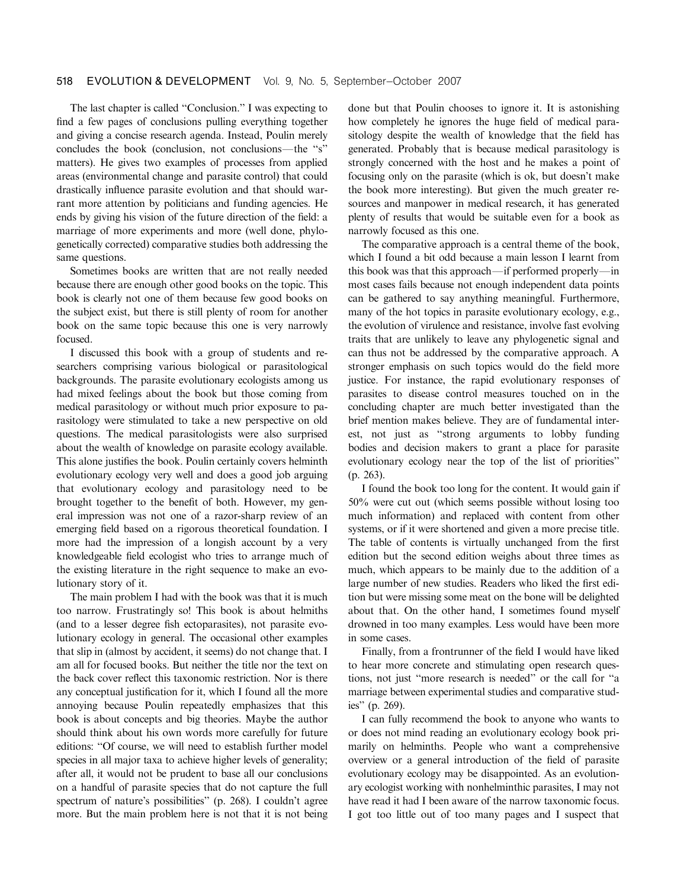The last chapter is called ''Conclusion.'' I was expecting to find a few pages of conclusions pulling everything together and giving a concise research agenda. Instead, Poulin merely concludes the book (conclusion, not conclusions—the "s" matters). He gives two examples of processes from applied areas (environmental change and parasite control) that could drastically influence parasite evolution and that should warrant more attention by politicians and funding agencies. He ends by giving his vision of the future direction of the field: a marriage of more experiments and more (well done, phylogenetically corrected) comparative studies both addressing the same questions.

Sometimes books are written that are not really needed because there are enough other good books on the topic. This book is clearly not one of them because few good books on the subject exist, but there is still plenty of room for another book on the same topic because this one is very narrowly focused.

I discussed this book with a group of students and researchers comprising various biological or parasitological backgrounds. The parasite evolutionary ecologists among us had mixed feelings about the book but those coming from medical parasitology or without much prior exposure to parasitology were stimulated to take a new perspective on old questions. The medical parasitologists were also surprised about the wealth of knowledge on parasite ecology available. This alone justifies the book. Poulin certainly covers helminth evolutionary ecology very well and does a good job arguing that evolutionary ecology and parasitology need to be brought together to the benefit of both. However, my general impression was not one of a razor-sharp review of an emerging field based on a rigorous theoretical foundation. I more had the impression of a longish account by a very knowledgeable field ecologist who tries to arrange much of the existing literature in the right sequence to make an evolutionary story of it.

The main problem I had with the book was that it is much too narrow. Frustratingly so! This book is about helmiths (and to a lesser degree fish ectoparasites), not parasite evolutionary ecology in general. The occasional other examples that slip in (almost by accident, it seems) do not change that. I am all for focused books. But neither the title nor the text on the back cover reflect this taxonomic restriction. Nor is there any conceptual justification for it, which I found all the more annoying because Poulin repeatedly emphasizes that this book is about concepts and big theories. Maybe the author should think about his own words more carefully for future editions: ''Of course, we will need to establish further model species in all major taxa to achieve higher levels of generality; after all, it would not be prudent to base all our conclusions on a handful of parasite species that do not capture the full spectrum of nature's possibilities'' (p. 268). I couldn't agree more. But the main problem here is not that it is not being

done but that Poulin chooses to ignore it. It is astonishing how completely he ignores the huge field of medical parasitology despite the wealth of knowledge that the field has generated. Probably that is because medical parasitology is strongly concerned with the host and he makes a point of focusing only on the parasite (which is ok, but doesn't make the book more interesting). But given the much greater resources and manpower in medical research, it has generated plenty of results that would be suitable even for a book as narrowly focused as this one.

The comparative approach is a central theme of the book, which I found a bit odd because a main lesson I learnt from this book was that this approach—if performed properly—in most cases fails because not enough independent data points can be gathered to say anything meaningful. Furthermore, many of the hot topics in parasite evolutionary ecology, e.g., the evolution of virulence and resistance, involve fast evolving traits that are unlikely to leave any phylogenetic signal and can thus not be addressed by the comparative approach. A stronger emphasis on such topics would do the field more justice. For instance, the rapid evolutionary responses of parasites to disease control measures touched on in the concluding chapter are much better investigated than the brief mention makes believe. They are of fundamental interest, not just as ''strong arguments to lobby funding bodies and decision makers to grant a place for parasite evolutionary ecology near the top of the list of priorities'' (p. 263).

I found the book too long for the content. It would gain if 50% were cut out (which seems possible without losing too much information) and replaced with content from other systems, or if it were shortened and given a more precise title. The table of contents is virtually unchanged from the first edition but the second edition weighs about three times as much, which appears to be mainly due to the addition of a large number of new studies. Readers who liked the first edition but were missing some meat on the bone will be delighted about that. On the other hand, I sometimes found myself drowned in too many examples. Less would have been more in some cases.

Finally, from a frontrunner of the field I would have liked to hear more concrete and stimulating open research questions, not just ''more research is needed'' or the call for ''a marriage between experimental studies and comparative studies'' (p. 269).

I can fully recommend the book to anyone who wants to or does not mind reading an evolutionary ecology book primarily on helminths. People who want a comprehensive overview or a general introduction of the field of parasite evolutionary ecology may be disappointed. As an evolutionary ecologist working with nonhelminthic parasites, I may not have read it had I been aware of the narrow taxonomic focus. I got too little out of too many pages and I suspect that